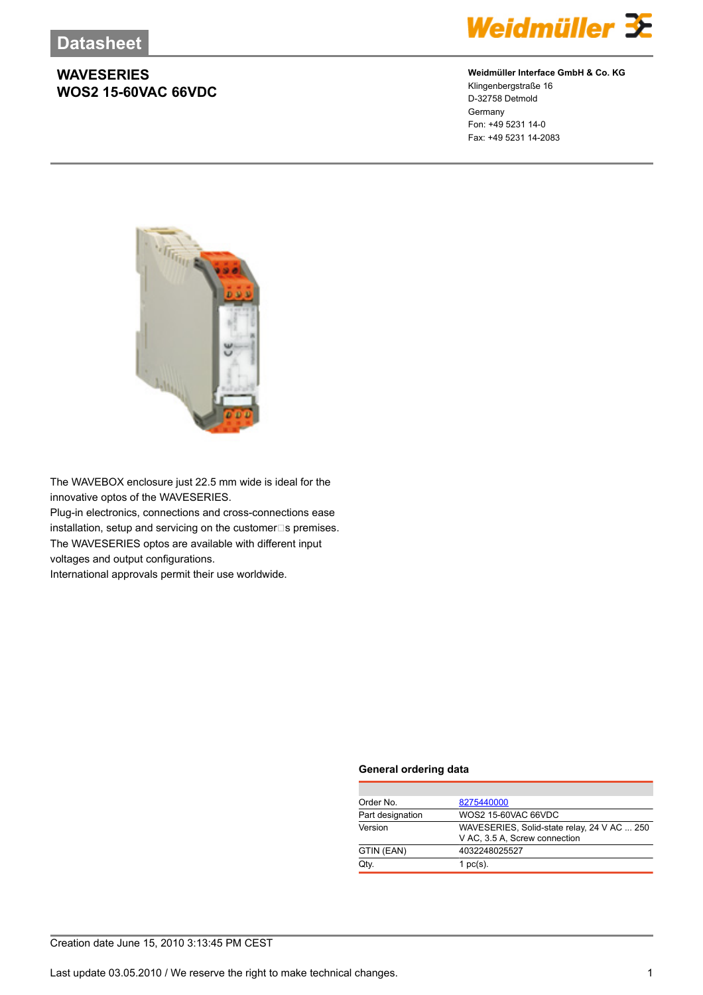#### **WAVESERIES WOS2 15-60VAC 66VDC**



#### **Weidmüller Interface GmbH & Co. KG**

Klingenbergstraße 16 D-32758 Detmold Germany Fon: +49 5231 14-0 Fax: +49 5231 14-2083



The WAVEBOX enclosure just 22.5 mm wide is ideal for the innovative optos of the WAVESERIES. Plug-in electronics, connections and cross-connections ease installation, setup and servicing on the customer $\square$ s premises. The WAVESERIES optos are available with different input voltages and output configurations.

International approvals permit their use worldwide.

#### **General ordering data**

| Order No.        | 8275440000                                  |  |  |
|------------------|---------------------------------------------|--|--|
| Part designation | WOS2 15-60VAC 66VDC                         |  |  |
| Version          | WAVESERIES, Solid-state relay, 24 V AC  250 |  |  |
|                  | V AC, 3.5 A, Screw connection               |  |  |
| GTIN (EAN)       | 4032248025527                               |  |  |
| Qtv.             | 1 $pc(s)$ .                                 |  |  |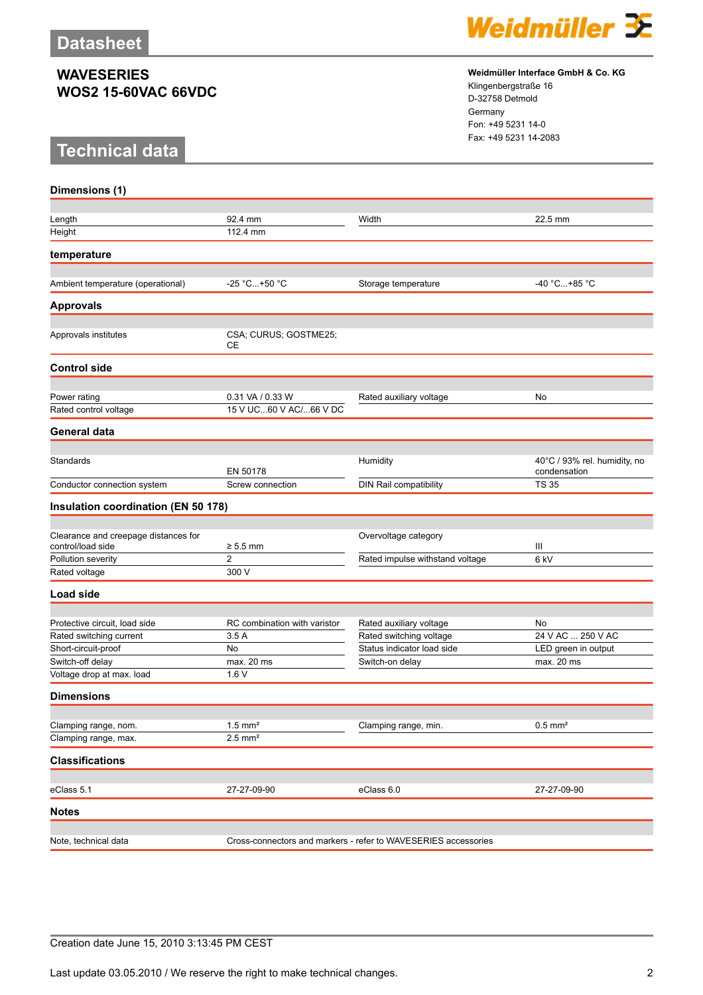## **WAVESERIES WOS2 15-60VAC 66VDC**

## **Technical data**



**Weidmüller Interface GmbH & Co. KG** Klingenbergstraße 16 D-32758 Detmold

Germany Fon: +49 5231 14-0 Fax: +49 5231 14-2083

| Dimensions (1)                          |                                                                |                                 |                                              |
|-----------------------------------------|----------------------------------------------------------------|---------------------------------|----------------------------------------------|
|                                         |                                                                |                                 |                                              |
| Length                                  | 92.4 mm                                                        | Width                           | 22.5 mm                                      |
| Height                                  | 112.4 mm                                                       |                                 |                                              |
| temperature                             |                                                                |                                 |                                              |
|                                         |                                                                |                                 |                                              |
| Ambient temperature (operational)       | -25 °C+50 °C                                                   | Storage temperature             | -40 °C+85 °C                                 |
| <b>Approvals</b>                        |                                                                |                                 |                                              |
| Approvals institutes                    | CSA; CURUS; GOSTME25;<br>CЕ                                    |                                 |                                              |
| <b>Control side</b>                     |                                                                |                                 |                                              |
|                                         |                                                                |                                 |                                              |
| Power rating                            | 0.31 VA / 0.33 W                                               | Rated auxiliary voltage         | No                                           |
| Rated control voltage                   | 15 V UC60 V AC/66 V DC                                         |                                 |                                              |
| <b>General data</b>                     |                                                                |                                 |                                              |
|                                         |                                                                |                                 |                                              |
| Standards                               | EN 50178                                                       | Humidity                        | 40°C / 93% rel. humidity, no<br>condensation |
| Conductor connection system             | Screw connection                                               | DIN Rail compatibility          | <b>TS 35</b>                                 |
| Insulation coordination (EN 50 178)     |                                                                |                                 |                                              |
|                                         |                                                                |                                 |                                              |
| Clearance and creepage distances for    |                                                                | Overvoltage category            |                                              |
| control/load side<br>Pollution severity | $\geq 5.5$ mm<br>2                                             | Rated impulse withstand voltage | Ш<br>6 kV                                    |
| Rated voltage                           | 300 V                                                          |                                 |                                              |
|                                         |                                                                |                                 |                                              |
| Load side                               |                                                                |                                 |                                              |
| Protective circuit, load side           | RC combination with varistor                                   | Rated auxiliary voltage         | No                                           |
| Rated switching current                 | 3.5A                                                           | Rated switching voltage         | 24 V AC  250 V AC                            |
| Short-circuit-proof                     | No                                                             | Status indicator load side      | LED green in output                          |
| Switch-off delay                        | max. 20 ms                                                     | Switch-on delay                 | max. 20 ms                                   |
| Voltage drop at max. load               | 1.6V                                                           |                                 |                                              |
| <b>Dimensions</b>                       |                                                                |                                 |                                              |
|                                         |                                                                |                                 |                                              |
| Clamping range, nom.                    | $1.5$ mm <sup>2</sup>                                          | Clamping range, min.            | $0.5$ mm <sup>2</sup>                        |
| Clamping range, max.                    | $2.5$ mm <sup>2</sup>                                          |                                 |                                              |
| <b>Classifications</b>                  |                                                                |                                 |                                              |
| eClass 5.1                              | 27-27-09-90                                                    | eClass 6.0                      | 27-27-09-90                                  |
| <b>Notes</b>                            |                                                                |                                 |                                              |
|                                         |                                                                |                                 |                                              |
| Note, technical data                    | Cross-connectors and markers - refer to WAVESERIES accessories |                                 |                                              |